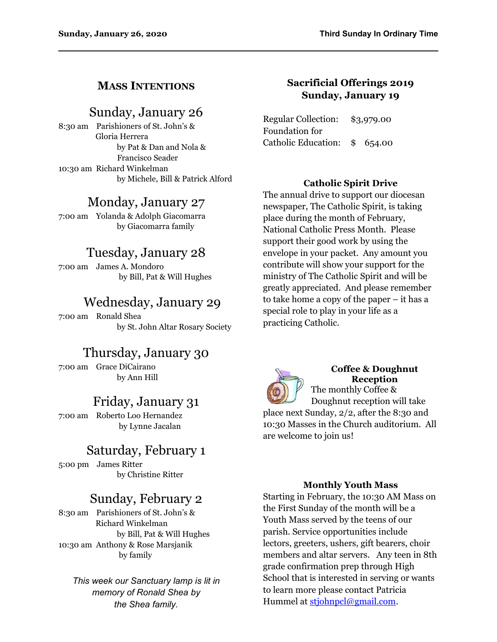## **MASS INTENTIONS**

## Sunday, January 26

8:30 am Parishioners of St. John's & Gloria Herrera by Pat & Dan and Nola & Francisco Seader 10:30 am Richard Winkelman by Michele, Bill & Patrick Alford

# Monday, January 27

7:00 am Yolanda & Adolph Giacomarra by Giacomarra family

# Tuesday, January 28

7:00 am James A. Mondoro by Bill, Pat & Will Hughes

# Wednesday, January 29

7:00 am Ronald Shea by St. John Altar Rosary Society

# Thursday, January 30

7:00 am Grace DiCairano by Ann Hill

# Friday, January 31

7:00 am Roberto Loo Hernandez by Lynne Jacalan

# Saturday, February 1

5:00 pm James Ritter by Christine Ritter

# Sunday, February 2

8:30 am Parishioners of St. John's & Richard Winkelman by Bill, Pat & Will Hughes 10:30 am Anthony & Rose Marsjanik by family

*This week our Sanctuary lamp is lit in memory of Ronald Shea by the Shea family.*

## **Sacrificial Offerings 2019 Sunday, January 19**

Regular Collection: \$3,979.00 Foundation for Catholic Education: \$ 654.00

### **Catholic Spirit Drive**

The annual drive to support our diocesan newspaper, The Catholic Spirit, is taking place during the month of February, National Catholic Press Month. Please support their good work by using the envelope in your packet. Any amount you contribute will show your support for the ministry of The Catholic Spirit and will be greatly appreciated. And please remember to take home a copy of the paper – it has a special role to play in your life as a practicing Catholic.



## **Coffee & Doughnut Reception**

The monthly Coffee & Doughnut reception will take place next Sunday, 2/2, after the 8:30 and 10:30 Masses in the Church auditorium. All are welcome to join us!

#### **Monthly Youth Mass**

Starting in February, the 10:30 AM Mass on the First Sunday of the month will be a Youth Mass served by the teens of our parish. Service opportunities include lectors, greeters, ushers, gift bearers, choir members and altar servers. Any teen in 8th grade confirmation prep through High School that is interested in serving or wants to learn more please contact Patricia Hummel at [stjohnpcl@gmail.com](mailto:stjohnpcl@gmail.com).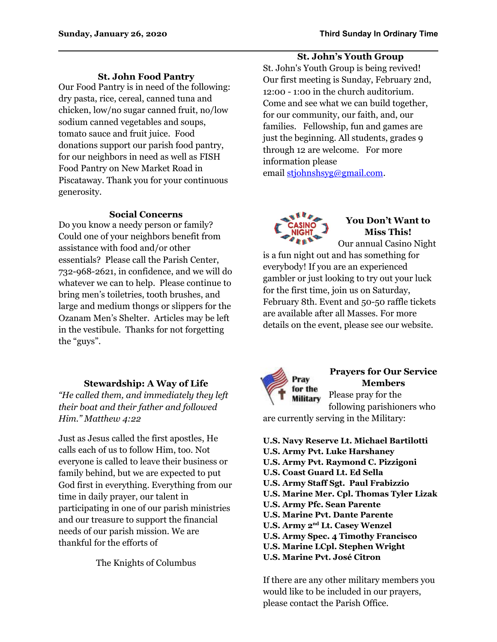## **St. John's Youth Group**

**St. John Food Pantry**

Our Food Pantry is in need of the following: dry pasta, rice, cereal, canned tuna and chicken, low/no sugar canned fruit, no/low sodium canned vegetables and soups, tomato sauce and fruit juice. Food donations support our parish food pantry, for our neighbors in need as well as FISH Food Pantry on New Market Road in Piscataway. Thank you for your continuous generosity.

#### **Social Concerns**

Do you know a needy person or family? Could one of your neighbors benefit from assistance with food and/or other essentials? Please call the Parish Center, 732-968-2621, in confidence, and we will do whatever we can to help. Please continue to bring men's toiletries, tooth brushes, and large and medium thongs or slippers for the Ozanam Men's Shelter. Articles may be left in the vestibule. Thanks for not forgetting the "guys".

### **Stewardship: A Way of Life**

*"He called them, and immediately they left their boat and their father and followed Him." Matthew 4:22*

Just as Jesus called the first apostles, He calls each of us to follow Him, too. Not everyone is called to leave their business or family behind, but we are expected to put God first in everything. Everything from our time in daily prayer, our talent in participating in one of our parish ministries and our treasure to support the financial needs of our parish mission. We are thankful for the efforts of

The Knights of Columbus

St. John's Youth Group is being revived! Our first meeting is Sunday, February 2nd, 12:00 - 1:00 in the church auditorium. Come and see what we can build together, for our community, our faith, and, our families. Fellowship, fun and games are just the beginning. All students, grades 9 through 12 are welcome. For more information please email [stjohnshsyg@gmail.com](mailto:stjohnshsyg@gmail.com).



## **You Don't Want to Miss This!**

Our annual Casino Night is a fun night out and has something for everybody! If you are an experienced gambler or just looking to try out your luck for the first time, join us on Saturday, February 8th. Event and 50-50 raffle tickets are available after all Masses. For more details on the event, please see our website.



## **Prayers for Our Service Members**

Please pray for the **Military** following parishioners who

are currently serving in the Military:

**U.S. Navy Reserve Lt. Michael Bartilotti U.S. Army Pvt. Luke Harshaney U.S. Army Pvt. Raymond C. Pizzigoni U.S. Coast Guard Lt. Ed Sella U.S. Army Staff Sgt. Paul Frabizzio U.S. Marine Mer. Cpl. Thomas Tyler Lizak U.S. Army Pfc. Sean Parente U.S. Marine Pvt. Dante Parente U.S. Army 2nd Lt. Casey Wenzel U.S. Army Spec. 4 Timothy Francisco U.S. Marine LCpl. Stephen Wright U.S. Marine Pvt. José Citron**

If there are any other military members you would like to be included in our prayers, please contact the Parish Office.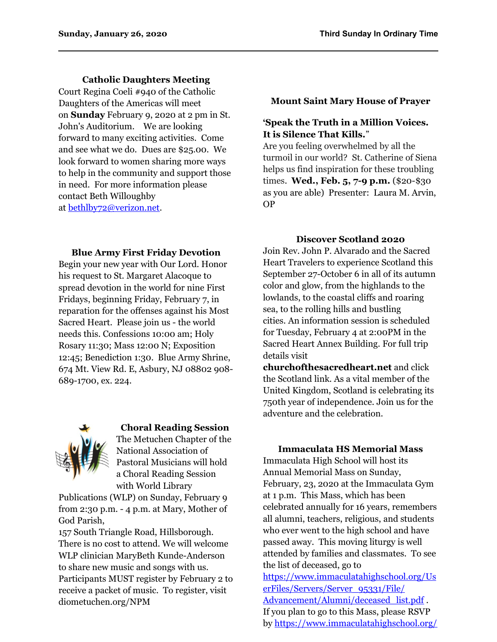### **Catholic Daughters Meeting**

Court Regina Coeli #940 of the Catholic Daughters of the Americas will meet on **Sunday** February 9, 2020 at 2 pm in St. John's Auditorium. We are looking forward to many exciting activities. Come and see what we do. Dues are \$25.00. We look forward to women sharing more ways to help in the community and support those in need. For more information please contact Beth Willoughby at [bethlby72@verizon.net.](mailto:bethlby72@verizon.net)

#### **Mount Saint Mary House of Prayer**

### **'Speak the Truth in a Million Voices. It is Silence That Kills.**"

Are you feeling overwhelmed by all the turmoil in our world? St. Catherine of Siena helps us find inspiration for these troubling times. **Wed., Feb. 5, 7-9 p.m.** (\$20-\$30 as you are able) Presenter: Laura M. Arvin, OP

#### **Discover Scotland 2020**

**Blue Army First Friday Devotion** Begin your new year with Our Lord. Honor his request to St. Margaret Alacoque to spread devotion in the world for nine First Fridays, beginning Friday, February 7, in reparation for the offenses against his Most Sacred Heart. Please join us - the world needs this. Confessions 10:00 am; Holy Rosary 11:30; Mass 12:00 N; Exposition 12:45; Benediction 1:30. Blue Army Shrine, 674 Mt. View Rd. E, Asbury, NJ 08802 908- 689-1700, ex. 224.



### **Choral Reading Session**

The Metuchen Chapter of the National Association of Pastoral Musicians will hold a Choral Reading Session with World Library

Publications (WLP) on Sunday, February 9 from 2:30 p.m. - 4 p.m. at Mary, Mother of God Parish,

157 South Triangle Road, Hillsborough. There is no cost to attend. We will welcome WLP clinician MaryBeth Kunde-Anderson to share new music and songs with us. Participants MUST register by February 2 to receive a packet of music. To register, visit diometuchen.org/NPM

Join Rev. John P. Alvarado and the Sacred Heart Travelers to experience Scotland this September 27-October 6 in all of its autumn color and glow, from the highlands to the lowlands, to the coastal cliffs and roaring sea, to the rolling hills and bustling cities. An information session is scheduled for Tuesday, February 4 at 2:00PM in the Sacred Heart Annex Building. For full trip details visit

**churchofthesacredheart.net** and click the Scotland link. As a vital member of the United Kingdom, Scotland is celebrating its 750th year of independence. Join us for the adventure and the celebration.

### **Immaculata HS Memorial Mass**

Immaculata High School will host its Annual Memorial Mass on Sunday, February, 23, 2020 at the Immaculata Gym at 1 p.m. This Mass, which has been celebrated annually for 16 years, remembers all alumni, teachers, religious, and students who ever went to the high school and have passed away. This moving liturgy is well attended by families and classmates. To see the list of deceased, go to [https://www.immaculatahighschool.org/Us](https://www.immaculatahighschool.org/UserFiles/Servers/Server_95331/File/Advancement/Alumni/deceased_list.pdf) [erFiles/Servers/Server\\_95331/File/](https://www.immaculatahighschool.org/UserFiles/Servers/Server_95331/File/Advancement/Alumni/deceased_list.pdf) [Advancement/Alumni/deceased\\_list.pdf](https://www.immaculatahighschool.org/UserFiles/Servers/Server_95331/File/Advancement/Alumni/deceased_list.pdf). If you plan to go to this Mass, please RSVP by [https://www.immaculatahighschool.org/](https://www.immaculatahighschool.org/advancement/events/spartan_memorial_mass)